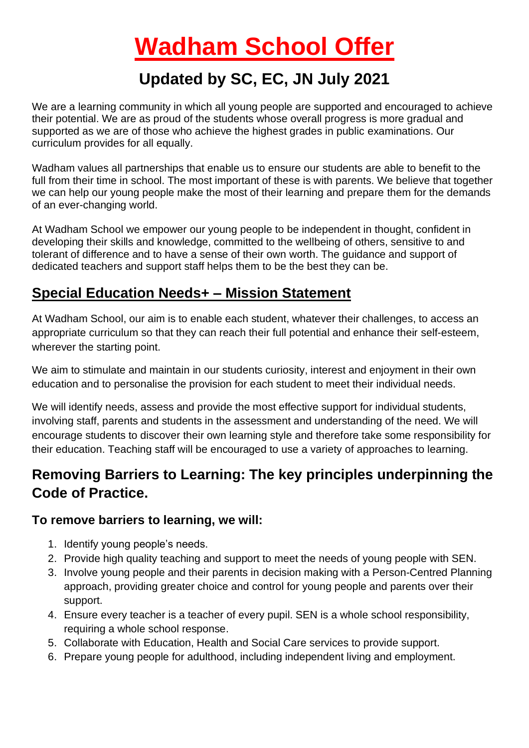# **Wadham School Offer**

## **Updated by SC, EC, JN July 2021**

We are a learning community in which all young people are supported and encouraged to achieve their potential. We are as proud of the students whose overall progress is more gradual and supported as we are of those who achieve the highest grades in public examinations. Our curriculum provides for all equally.

Wadham values all partnerships that enable us to ensure our students are able to benefit to the full from their time in school. The most important of these is with parents. We believe that together we can help our young people make the most of their learning and prepare them for the demands of an ever-changing world.

At Wadham School we empower our young people to be independent in thought, confident in developing their skills and knowledge, committed to the wellbeing of others, sensitive to and tolerant of difference and to have a sense of their own worth. The guidance and support of dedicated teachers and support staff helps them to be the best they can be.

#### **Special Education Needs+ – Mission Statement**

At Wadham School, our aim is to enable each student, whatever their challenges, to access an appropriate curriculum so that they can reach their full potential and enhance their self-esteem, wherever the starting point.

We aim to stimulate and maintain in our students curiosity, interest and enjoyment in their own education and to personalise the provision for each student to meet their individual needs.

We will identify needs, assess and provide the most effective support for individual students, involving staff, parents and students in the assessment and understanding of the need. We will encourage students to discover their own learning style and therefore take some responsibility for their education. Teaching staff will be encouraged to use a variety of approaches to learning.

## **Removing Barriers to Learning: The key principles underpinning the Code of Practice.**

#### **To remove barriers to learning, we will:**

- 1. Identify young people's needs.
- 2. Provide high quality teaching and support to meet the needs of young people with SEN.
- 3. Involve young people and their parents in decision making with a Person-Centred Planning approach, providing greater choice and control for young people and parents over their support.
- 4. Ensure every teacher is a teacher of every pupil. SEN is a whole school responsibility, requiring a whole school response.
- 5. Collaborate with Education, Health and Social Care services to provide support.
- 6. Prepare young people for adulthood, including independent living and employment.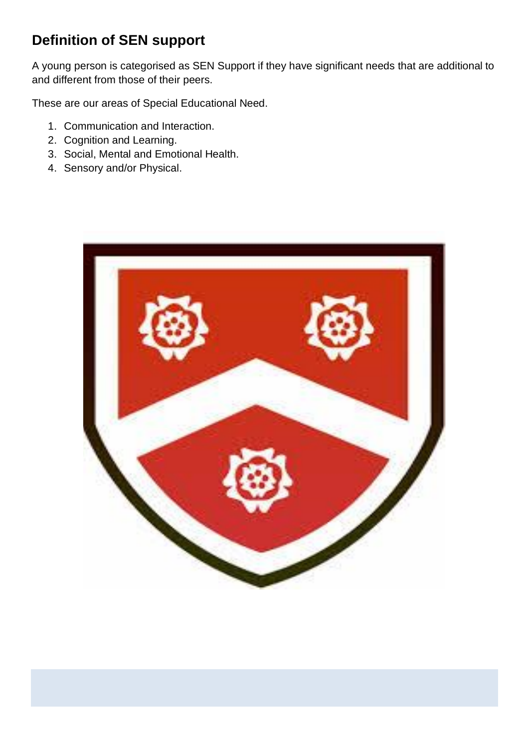## **Definition of SEN support**

A young person is categorised as SEN Support if they have significant needs that are additional to and different from those of their peers.

These are our areas of Special Educational Need.

- 1. Communication and Interaction.
- 2. Cognition and Learning.
- 3. Social, Mental and Emotional Health.
- 4. Sensory and/or Physical.

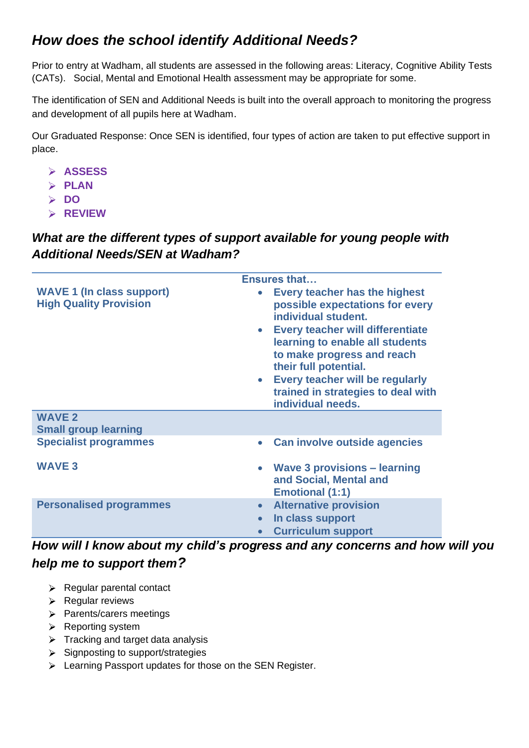## *How does the school identify Additional Needs?*

Prior to entry at Wadham, all students are assessed in the following areas: Literacy, Cognitive Ability Tests (CATs). Social, Mental and Emotional Health assessment may be appropriate for some.

The identification of SEN and Additional Needs is built into the overall approach to monitoring the progress and development of all pupils here at Wadham.

Our Graduated Response: Once SEN is identified, four types of action are taken to put effective support in place.

- **ASSESS**
- **PLAN**
- **DO**
- **REVIEW**

#### *What are the different types of support available for young people with Additional Needs/SEN at Wadham?*

|                                                                   | <b>Ensures that</b>                                                                                                                                                                                                                                                                                                                                                      |
|-------------------------------------------------------------------|--------------------------------------------------------------------------------------------------------------------------------------------------------------------------------------------------------------------------------------------------------------------------------------------------------------------------------------------------------------------------|
| <b>WAVE 1 (In class support)</b><br><b>High Quality Provision</b> | <b>Every teacher has the highest</b><br>$\bullet$<br>possible expectations for every<br>individual student.<br><b>Every teacher will differentiate</b><br>$\bullet$<br>learning to enable all students<br>to make progress and reach<br>their full potential.<br>Every teacher will be regularly<br>$\bullet$<br>trained in strategies to deal with<br>individual needs. |
| <b>WAVE 2</b>                                                     |                                                                                                                                                                                                                                                                                                                                                                          |
| <b>Small group learning</b>                                       |                                                                                                                                                                                                                                                                                                                                                                          |
| <b>Specialist programmes</b>                                      | Can involve outside agencies<br>$\bullet$                                                                                                                                                                                                                                                                                                                                |
| <b>WAVE 3</b>                                                     | <b>Wave 3 provisions – learning</b><br>$\bullet$<br>and Social, Mental and<br><b>Emotional (1:1)</b>                                                                                                                                                                                                                                                                     |
| <b>Personalised programmes</b>                                    | <b>Alternative provision</b><br>$\bullet$<br>In class support<br>$\bullet$<br><b>Curriculum support</b><br>$\bullet$                                                                                                                                                                                                                                                     |

*How will I know about my child's progress and any concerns and how will you help me to support them?*

- $\triangleright$  Regular parental contact
- $\triangleright$  Regular reviews
- > Parents/carers meetings
- $\triangleright$  Reporting system
- $\triangleright$  Tracking and target data analysis
- $\triangleright$  Signposting to support/strategies
- Eearning Passport updates for those on the SEN Register.